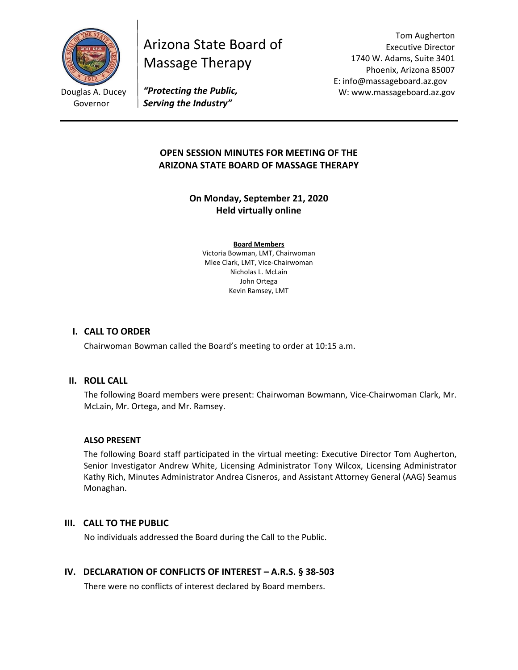

Douglas A. Ducey Governor

Arizona State Board of Massage Therapy

Tom Augherton Executive Director 1740 W. Adams, Suite 3401 Phoenix, Arizona 85007 E: info@massageboard.az.gov W: www.massageboard.az.gov

*"Protecting the Public, Serving the Industry"*

# **OPEN SESSION MINUTES FOR MEETING OF THE ARIZONA STATE BOARD OF MASSAGE THERAPY**

**On Monday, September 21, 2020 Held virtually online** 

**Board Members** Victoria Bowman, LMT, Chairwoman Mlee Clark, LMT, Vice-Chairwoman Nicholas L. McLain John Ortega Kevin Ramsey, LMT

### **I. CALL TO ORDER**

Chairwoman Bowman called the Board's meeting to order at 10:15 a.m.

#### **II. ROLL CALL**

The following Board members were present: Chairwoman Bowmann, Vice-Chairwoman Clark, Mr. McLain, Mr. Ortega, and Mr. Ramsey.

#### **ALSO PRESENT**

The following Board staff participated in the virtual meeting: Executive Director Tom Augherton, Senior Investigator Andrew White, Licensing Administrator Tony Wilcox, Licensing Administrator Kathy Rich, Minutes Administrator Andrea Cisneros, and Assistant Attorney General (AAG) Seamus Monaghan.

#### **III. CALL TO THE PUBLIC**

No individuals addressed the Board during the Call to the Public.

# **IV. DECLARATION OF CONFLICTS OF INTEREST – A.R.S. § 38-503**

There were no conflicts of interest declared by Board members.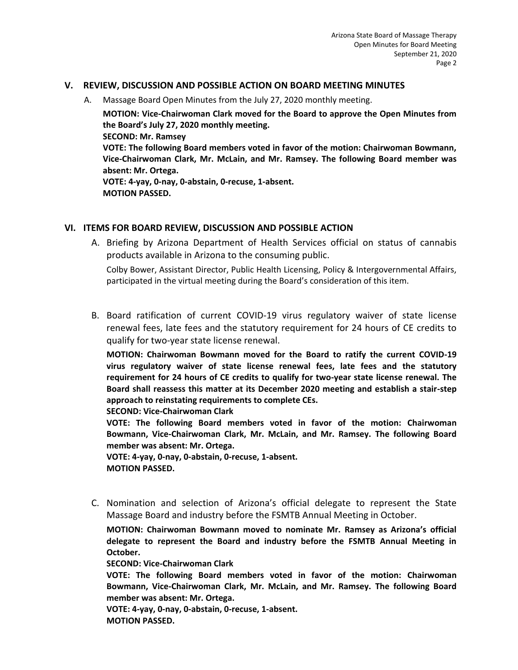#### **V. REVIEW, DISCUSSION AND POSSIBLE ACTION ON BOARD MEETING MINUTES**

A. Massage Board Open Minutes from the July 27, 2020 monthly meeting.

**MOTION: Vice-Chairwoman Clark moved for the Board to approve the Open Minutes from the Board's July 27, 2020 monthly meeting. SECOND: Mr. Ramsey** 

**VOTE: The following Board members voted in favor of the motion: Chairwoman Bowmann, Vice-Chairwoman Clark, Mr. McLain, and Mr. Ramsey. The following Board member was absent: Mr. Ortega.** 

**VOTE: 4-yay, 0-nay, 0-abstain, 0-recuse, 1-absent. MOTION PASSED.** 

#### **VI. ITEMS FOR BOARD REVIEW, DISCUSSION AND POSSIBLE ACTION**

A. Briefing by Arizona Department of Health Services official on status of cannabis products available in Arizona to the consuming public.

Colby Bower, Assistant Director, Public Health Licensing, Policy & Intergovernmental Affairs, participated in the virtual meeting during the Board's consideration of this item.

B. Board ratification of current COVID-19 virus regulatory waiver of state license renewal fees, late fees and the statutory requirement for 24 hours of CE credits to qualify for two-year state license renewal.

**MOTION: Chairwoman Bowmann moved for the Board to ratify the current COVID-19 virus regulatory waiver of state license renewal fees, late fees and the statutory requirement for 24 hours of CE credits to qualify for two-year state license renewal. The Board shall reassess this matter at its December 2020 meeting and establish a stair-step approach to reinstating requirements to complete CEs.** 

**SECOND: Vice-Chairwoman Clark** 

**VOTE: The following Board members voted in favor of the motion: Chairwoman Bowmann, Vice-Chairwoman Clark, Mr. McLain, and Mr. Ramsey. The following Board member was absent: Mr. Ortega.** 

**VOTE: 4-yay, 0-nay, 0-abstain, 0-recuse, 1-absent. MOTION PASSED.** 

C. Nomination and selection of Arizona's official delegate to represent the State Massage Board and industry before the FSMTB Annual Meeting in October.

**MOTION: Chairwoman Bowmann moved to nominate Mr. Ramsey as Arizona's official delegate to represent the Board and industry before the FSMTB Annual Meeting in October.** 

**SECOND: Vice-Chairwoman Clark** 

**VOTE: The following Board members voted in favor of the motion: Chairwoman Bowmann, Vice-Chairwoman Clark, Mr. McLain, and Mr. Ramsey. The following Board member was absent: Mr. Ortega.** 

**VOTE: 4-yay, 0-nay, 0-abstain, 0-recuse, 1-absent. MOTION PASSED.**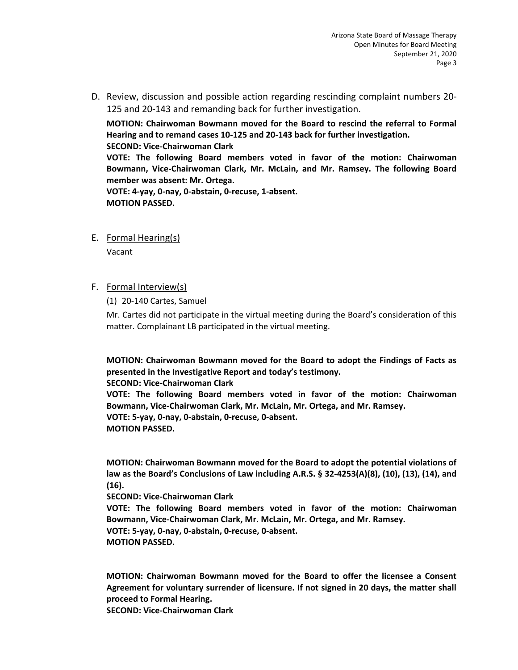D. Review, discussion and possible action regarding rescinding complaint numbers 20- 125 and 20-143 and remanding back for further investigation.

**MOTION: Chairwoman Bowmann moved for the Board to rescind the referral to Formal Hearing and to remand cases 10-125 and 20-143 back for further investigation.** 

**SECOND: Vice-Chairwoman Clark** 

**VOTE: The following Board members voted in favor of the motion: Chairwoman Bowmann, Vice-Chairwoman Clark, Mr. McLain, and Mr. Ramsey. The following Board member was absent: Mr. Ortega.** 

**VOTE: 4-yay, 0-nay, 0-abstain, 0-recuse, 1-absent. MOTION PASSED.** 

E. Formal Hearing(s)

Vacant

### F. Formal Interview(s)

(1) 20-140 Cartes, Samuel

Mr. Cartes did not participate in the virtual meeting during the Board's consideration of this matter. Complainant LB participated in the virtual meeting.

**MOTION: Chairwoman Bowmann moved for the Board to adopt the Findings of Facts as presented in the Investigative Report and today's testimony.** 

**SECOND: Vice-Chairwoman Clark** 

**VOTE: The following Board members voted in favor of the motion: Chairwoman Bowmann, Vice-Chairwoman Clark, Mr. McLain, Mr. Ortega, and Mr. Ramsey. VOTE: 5-yay, 0-nay, 0-abstain, 0-recuse, 0-absent. MOTION PASSED.** 

**MOTION: Chairwoman Bowmann moved for the Board to adopt the potential violations of law as the Board's Conclusions of Law including A.R.S. § 32-4253(A)(8), (10), (13), (14), and (16).** 

**SECOND: Vice-Chairwoman Clark** 

**VOTE: The following Board members voted in favor of the motion: Chairwoman Bowmann, Vice-Chairwoman Clark, Mr. McLain, Mr. Ortega, and Mr. Ramsey. VOTE: 5-yay, 0-nay, 0-abstain, 0-recuse, 0-absent. MOTION PASSED.** 

**MOTION: Chairwoman Bowmann moved for the Board to offer the licensee a Consent Agreement for voluntary surrender of licensure. If not signed in 20 days, the matter shall proceed to Formal Hearing.** 

**SECOND: Vice-Chairwoman Clark**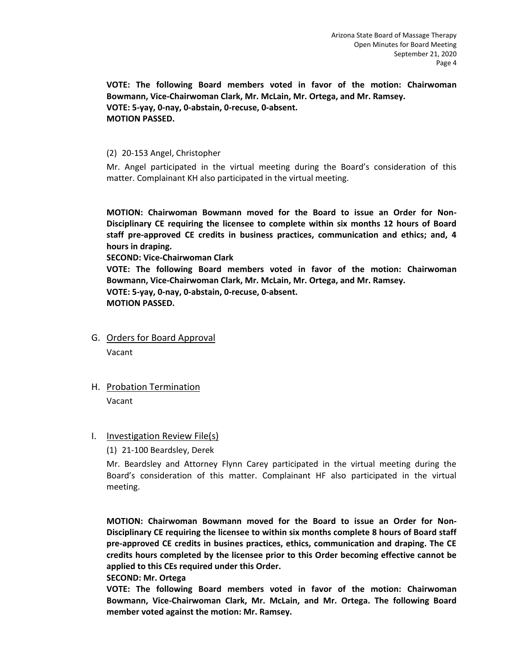**VOTE: The following Board members voted in favor of the motion: Chairwoman Bowmann, Vice-Chairwoman Clark, Mr. McLain, Mr. Ortega, and Mr. Ramsey. VOTE: 5-yay, 0-nay, 0-abstain, 0-recuse, 0-absent. MOTION PASSED.** 

#### (2) 20-153 Angel, Christopher

Mr. Angel participated in the virtual meeting during the Board's consideration of this matter. Complainant KH also participated in the virtual meeting.

**MOTION: Chairwoman Bowmann moved for the Board to issue an Order for Non-Disciplinary CE requiring the licensee to complete within six months 12 hours of Board staff pre-approved CE credits in business practices, communication and ethics; and, 4 hours in draping.** 

**SECOND: Vice-Chairwoman Clark** 

**VOTE: The following Board members voted in favor of the motion: Chairwoman Bowmann, Vice-Chairwoman Clark, Mr. McLain, Mr. Ortega, and Mr. Ramsey. VOTE: 5-yay, 0-nay, 0-abstain, 0-recuse, 0-absent. MOTION PASSED.** 

G. Orders for Board Approval

Vacant

H. Probation Termination

Vacant

#### I. Investigation Review File(s)

(1) 21-100 Beardsley, Derek

Mr. Beardsley and Attorney Flynn Carey participated in the virtual meeting during the Board's consideration of this matter. Complainant HF also participated in the virtual meeting.

**MOTION: Chairwoman Bowmann moved for the Board to issue an Order for Non-Disciplinary CE requiring the licensee to within six months complete 8 hours of Board staff pre-approved CE credits in busines practices, ethics, communication and draping. The CE credits hours completed by the licensee prior to this Order becoming effective cannot be applied to this CEs required under this Order.** 

#### **SECOND: Mr. Ortega**

**VOTE: The following Board members voted in favor of the motion: Chairwoman Bowmann, Vice-Chairwoman Clark, Mr. McLain, and Mr. Ortega. The following Board member voted against the motion: Mr. Ramsey.**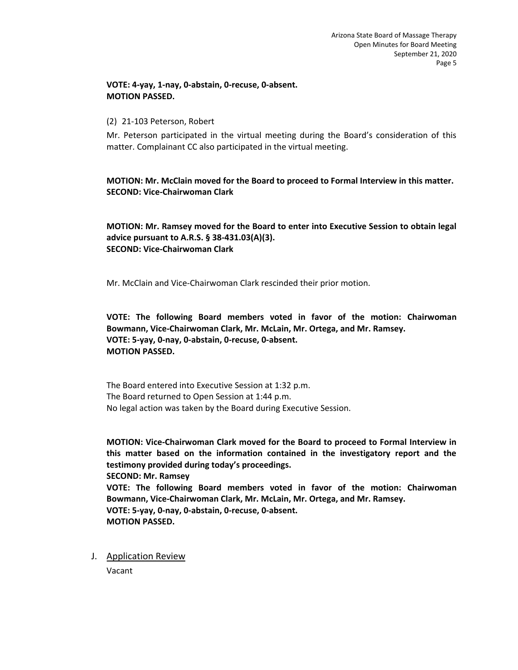#### **VOTE: 4-yay, 1-nay, 0-abstain, 0-recuse, 0-absent. MOTION PASSED.**

### (2) 21-103 Peterson, Robert

Mr. Peterson participated in the virtual meeting during the Board's consideration of this matter. Complainant CC also participated in the virtual meeting.

**MOTION: Mr. McClain moved for the Board to proceed to Formal Interview in this matter. SECOND: Vice-Chairwoman Clark** 

**MOTION: Mr. Ramsey moved for the Board to enter into Executive Session to obtain legal advice pursuant to A.R.S. § 38-431.03(A)(3). SECOND: Vice-Chairwoman Clark** 

Mr. McClain and Vice-Chairwoman Clark rescinded their prior motion.

**VOTE: The following Board members voted in favor of the motion: Chairwoman Bowmann, Vice-Chairwoman Clark, Mr. McLain, Mr. Ortega, and Mr. Ramsey. VOTE: 5-yay, 0-nay, 0-abstain, 0-recuse, 0-absent. MOTION PASSED.** 

The Board entered into Executive Session at 1:32 p.m. The Board returned to Open Session at 1:44 p.m. No legal action was taken by the Board during Executive Session.

**MOTION: Vice-Chairwoman Clark moved for the Board to proceed to Formal Interview in this matter based on the information contained in the investigatory report and the testimony provided during today's proceedings. SECOND: Mr. Ramsey VOTE: The following Board members voted in favor of the motion: Chairwoman Bowmann, Vice-Chairwoman Clark, Mr. McLain, Mr. Ortega, and Mr. Ramsey. VOTE: 5-yay, 0-nay, 0-abstain, 0-recuse, 0-absent. MOTION PASSED.** 

J. Application Review

Vacant